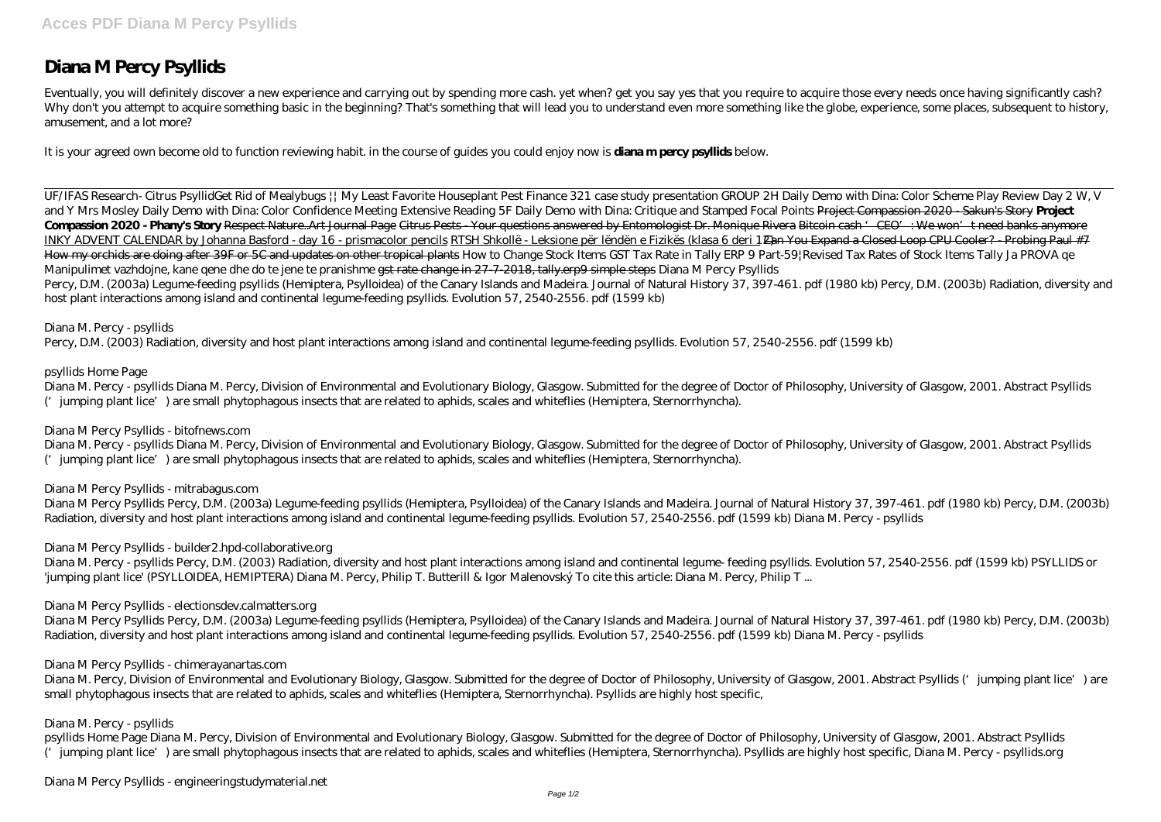# **Diana M Percy Psyllids**

Eventually, you will definitely discover a new experience and carrying out by spending more cash. yet when? get you say yes that you require to acquire those every needs once having significantly cash? Why don't you attempt to acquire something basic in the beginning? That's something that will lead you to understand even more something like the globe, experience, some places, subsequent to history, amusement, and a lot more?

It is your agreed own become old to function reviewing habit. in the course of guides you could enjoy now is **diana m percy psyllids** below.

UF/IFAS Research- Citrus Psyllid*Get Rid of Mealybugs || My Least Favorite Houseplant Pest* Finance 321 case study presentation GROUP 2H Daily Demo with Dina: Color Scheme Play *Review Day 2 W, V and Y Mrs Mosley Daily Demo with Dina: Color Confidence Meeting Extensive Reading 5F Daily Demo with Dina: Critique and Stamped Focal Points* Project Compassion 2020 - Sakun's Story **Project Compassion 2020 - Phany's Story** Respect Nature..Art Journal Page Citrus Pests - Your questions answered by Entomologist Dr. Monique Rivera Bitcoin cash 'CEO': We won't need banks anymore INKY ADVENT CALENDAR by Johanna Basford - day 16 - prismacolor pencils RTSH Shkollë - Leksione për lëndën e Fizikës (klasa 6 deri 12<del>) an You Expand a Closed Loop CPU Cooler? - Probing Paul #7</del> How my orchids are doing after 39F or 5C and updates on other tropical plants *How to Change Stock Items GST Tax Rate in Tally ERP 9 Part-59|Revised Tax Rates of Stock Items Tally Ja PROVA qe Manipulimet vazhdojne, kane qene dhe do te jene te pranishme* gst rate change in 27-7-2018, tally.erp9 simple steps *Diana M Percy Psyllids* Percy, D.M. (2003a) Legume-feeding psyllids (Hemiptera, Psylloidea) of the Canary Islands and Madeira. Journal of Natural History 37, 397-461. pdf (1980 kb) Percy, D.M. (2003b) Radiation, diversity and host plant interactions among island and continental legume-feeding psyllids. Evolution 57, 2540-2556. pdf (1599 kb)

## *Diana M. Percy - psyllids*

Percy, D.M. (2003) Radiation, diversity and host plant interactions among island and continental legume-feeding psyllids. Evolution 57, 2540-2556. pdf (1599 kb)

# *psyllids Home Page*

Diana M. Percy - psyllids Diana M. Percy, Division of Environmental and Evolutionary Biology, Glasgow. Submitted for the degree of Doctor of Philosophy, University of Glasgow, 2001. Abstract Psyllids ('jumping plant lice') are small phytophagous insects that are related to aphids, scales and whiteflies (Hemiptera, Sternorrhyncha).

## *Diana M Percy Psyllids - bitofnews.com*

Diana M. Percy - psyllids Diana M. Percy, Division of Environmental and Evolutionary Biology, Glasgow. Submitted for the degree of Doctor of Philosophy, University of Glasgow, 2001. Abstract Psyllids ('jumping plant lice') are small phytophagous insects that are related to aphids, scales and whiteflies (Hemiptera, Sternorrhyncha).

## *Diana M Percy Psyllids - mitrabagus.com*

Diana M Percy Psyllids Percy, D.M. (2003a) Legume-feeding psyllids (Hemiptera, Psylloidea) of the Canary Islands and Madeira. Journal of Natural History 37, 397-461. pdf (1980 kb) Percy, D.M. (2003b) Radiation, diversity and host plant interactions among island and continental legume-feeding psyllids. Evolution 57, 2540-2556. pdf (1599 kb) Diana M. Percy - psyllids

## *Diana M Percy Psyllids - builder2.hpd-collaborative.org*

Diana M. Percy - psyllids Percy, D.M. (2003) Radiation, diversity and host plant interactions among island and continental legume- feeding psyllids. Evolution 57, 2540-2556. pdf (1599 kb) PSYLLIDS or 'jumping plant lice' (PSYLLOIDEA, HEMIPTERA) Diana M. Percy, Philip T. Butterill & Igor Malenovský To cite this article: Diana M. Percy, Philip T ...

## *Diana M Percy Psyllids - electionsdev.calmatters.org*

Diana M Percy Psyllids Percy, D.M. (2003a) Legume-feeding psyllids (Hemiptera, Psylloidea) of the Canary Islands and Madeira. Journal of Natural History 37, 397-461. pdf (1980 kb) Percy, D.M. (2003b) Radiation, diversity and host plant interactions among island and continental legume-feeding psyllids. Evolution 57, 2540-2556. pdf (1599 kb) Diana M. Percy - psyllids

## *Diana M Percy Psyllids - chimerayanartas.com*

Diana M. Percy, Division of Environmental and Evolutionary Biology, Glasgow. Submitted for the degree of Doctor of Philosophy, University of Glasgow, 2001. Abstract Psyllids ('jumping plant lice') are small phytophagous insects that are related to aphids, scales and whiteflies (Hemiptera, Sternorrhyncha). Psyllids are highly host specific,

# *Diana M. Percy - psyllids*

psyllids Home Page Diana M. Percy, Division of Environmental and Evolutionary Biology, Glasgow. Submitted for the degree of Doctor of Philosophy, University of Glasgow, 2001. Abstract Psyllids ('jumping plant lice') are small phytophagous insects that are related to aphids, scales and whiteflies (Hemiptera, Sternorrhyncha). Psyllids are highly host specific, Diana M. Percy - psyllids.org